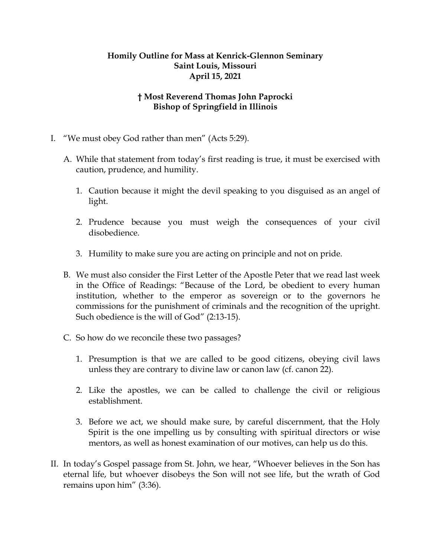## **Homily Outline for Mass at Kenrick-Glennon Seminary Saint Louis, Missouri April 15, 2021**

## **† Most Reverend Thomas John Paprocki Bishop of Springfield in Illinois**

- I. "We must obey God rather than men" (Acts 5:29).
	- A. While that statement from today's first reading is true, it must be exercised with caution, prudence, and humility.
		- 1. Caution because it might the devil speaking to you disguised as an angel of light.
		- 2. Prudence because you must weigh the consequences of your civil disobedience.
		- 3. Humility to make sure you are acting on principle and not on pride.
	- B. We must also consider the First Letter of the Apostle Peter that we read last week in the Office of Readings: "Because of the Lord, be obedient to every human institution, whether to the emperor as sovereign or to the governors he commissions for the punishment of criminals and the recognition of the upright. Such obedience is the will of God" (2:13-15).
	- C. So how do we reconcile these two passages?
		- 1. Presumption is that we are called to be good citizens, obeying civil laws unless they are contrary to divine law or canon law (cf. canon 22).
		- 2. Like the apostles, we can be called to challenge the civil or religious establishment.
		- 3. Before we act, we should make sure, by careful discernment, that the Holy Spirit is the one impelling us by consulting with spiritual directors or wise mentors, as well as honest examination of our motives, can help us do this.
- II. In today's Gospel passage from St. John, we hear, "Whoever believes in the Son has eternal life, but whoever disobeys the Son will not see life, but the wrath of God remains upon him" (3:36).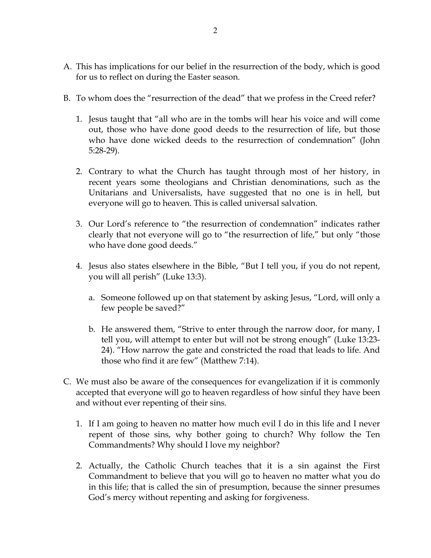- A. This has implications for our belief in the resurrection of the body, which is good for us to reflect on during the Easter season.
- B. To whom does the "resurrection of the dead" that we profess in the Creed refer?
	- 1. Jesus taught that "all who are in the tombs will hear his voice and will come out, those who have done good deeds to the resurrection of life, but those who have done wicked deeds to the resurrection of condemnation" (John 5:28-29).
	- 2. Contrary to what the Church has taught through most of her history, in recent years some theologians and Christian denominations, such as the Unitarians and Universalists, have suggested that no one is in hell, but everyone will go to heaven. This is called universal salvation.
	- 3. Our Lord's reference to "the resurrection of condemnation" indicates rather clearly that not everyone will go to "the resurrection of life," but only "those who have done good deeds."
	- 4. Jesus also states elsewhere in the Bible, "But I tell you, if you do not repent, you will all perish" (Luke 13:3).
		- a. Someone followed up on that statement by asking Jesus, "Lord, will only a few people be saved?"
		- b. He answered them, "Strive to enter through the narrow door, for many, I tell you, will attempt to enter but will not be strong enough" (Luke 13:23- 24). "How narrow the gate and constricted the road that leads to life. And those who find it are few" (Matthew 7:14).
- C. We must also be aware of the consequences for evangelization if it is commonly accepted that everyone will go to heaven regardless of how sinful they have been and without ever repenting of their sins.
	- 1. If I am going to heaven no matter how much evil I do in this life and I never repent of those sins, why bother going to church? Why follow the Ten Commandments? Why should I love my neighbor?
	- 2. Actually, the Catholic Church teaches that it is a sin against the First Commandment to believe that you will go to heaven no matter what you do in this life; that is called the sin of presumption, because the sinner presumes God's mercy without repenting and asking for forgiveness.